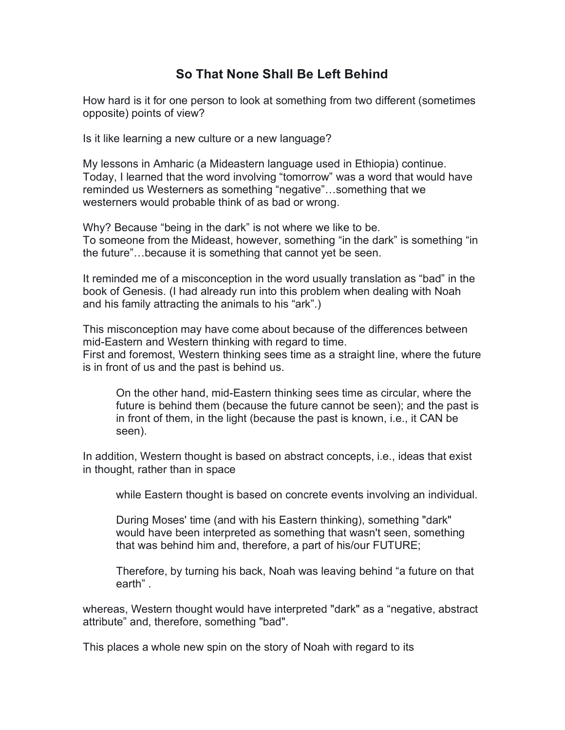## **So That None Shall Be Left Behind**

How hard is it for one person to look at something from two different (sometimes opposite) points of view?

Is it like learning a new culture or a new language?

My lessons in Amharic (a Mideastern language used in Ethiopia) continue. Today, I learned that the word involving "tomorrow" was a word that would have reminded us Westerners as something "negative"…something that we westerners would probable think of as bad or wrong.

Why? Because "being in the dark" is not where we like to be. To someone from the Mideast, however, something "in the dark" is something "in the future"…because it is something that cannot yet be seen.

It reminded me of a misconception in the word usually translation as "bad" in the book of Genesis. (I had already run into this problem when dealing with Noah and his family attracting the animals to his "ark".)

This misconception may have come about because of the differences between mid-Eastern and Western thinking with regard to time. First and foremost, Western thinking sees time as a straight line, where the future is in front of us and the past is behind us.

On the other hand, mid-Eastern thinking sees time as circular, where the future is behind them (because the future cannot be seen); and the past is in front of them, in the light (because the past is known, i.e., it CAN be seen).

In addition, Western thought is based on abstract concepts, i.e., ideas that exist in thought, rather than in space

while Eastern thought is based on concrete events involving an individual.

During Moses' time (and with his Eastern thinking), something "dark" would have been interpreted as something that wasn't seen, something that was behind him and, therefore, a part of his/our FUTURE;

Therefore, by turning his back, Noah was leaving behind "a future on that earth" .

whereas, Western thought would have interpreted "dark" as a "negative, abstract attribute" and, therefore, something "bad".

This places a whole new spin on the story of Noah with regard to its